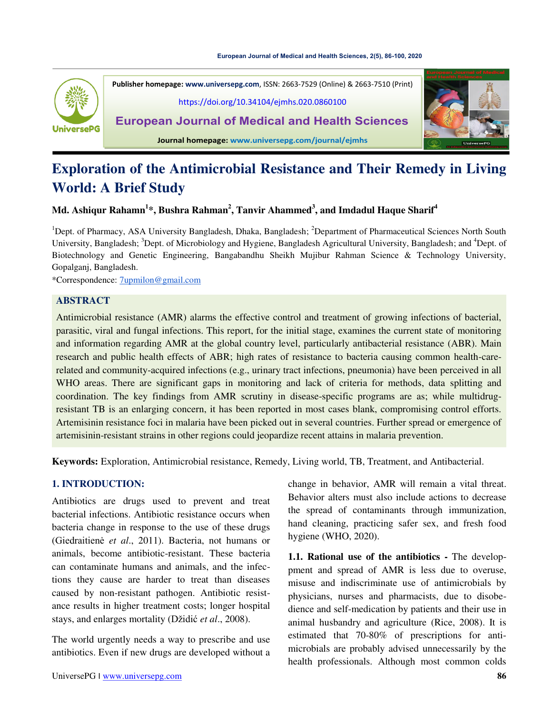#### **[European Journal of Medical and Health Sciences, 2\(5\), 86-100, 2020](https://doi.org/10.34104/ejmhs.020.0860100)**



**Publisher homepage[: www.universepg.com](http://www.universepg.com/)**, ISSN: 2663-7529 (Online) & 2663-7510 (Print)

<https://doi.org/10.34104/ejmhs.020.0860100>

**European Journal of Medical and Health Sciences**



#### **Journal homepage[: www.universepg.com/journal/ejmhs](http://www.universepg.com/journal/ejmhs)**

# **Exploration of the Antimicrobial Resistance and Their Remedy in Living World: A Brief Study**

**Md. Ashiqur Rahamn<sup>1</sup> \*, Bushra Rahman<sup>2</sup> , Tanvir Ahammed<sup>3</sup> , and Imdadul Haque Sharif<sup>4</sup>**

<sup>1</sup>Dept. of Pharmacy, ASA University Bangladesh, Dhaka, Bangladesh; <sup>2</sup>Department of Pharmaceutical Sciences North South University, Bangladesh; <sup>3</sup>Dept. of Microbiology and Hygiene, Bangladesh Agricultural University, Bangladesh; and <sup>4</sup>Dept. of Biotechnology and Genetic Engineering, Bangabandhu Sheikh Mujibur Rahman Science & Technology University, Gopalganj, Bangladesh.

\*Correspondence: [7upmilon@gmail.com](mailto:7upmilon@gmail.com)

## **ABSTRACT**

Antimicrobial resistance (AMR) alarms the effective control and treatment of growing infections of bacterial, parasitic, viral and fungal infections. This report, for the initial stage, examines the current state of monitoring and information regarding AMR at the global country level, particularly antibacterial resistance (ABR). Main research and public health effects of ABR; high rates of resistance to bacteria causing common health-carerelated and community-acquired infections (e.g., urinary tract infections, pneumonia) have been perceived in all WHO areas. There are significant gaps in monitoring and lack of criteria for methods, data splitting and coordination. The key findings from AMR scrutiny in disease-specific programs are as; while multidrugresistant TB is an enlarging concern, it has been reported in most cases blank, compromising control efforts. Artemisinin resistance foci in malaria have been picked out in several countries. Further spread or emergence of artemisinin-resistant strains in other regions could jeopardize recent attains in malaria prevention.

**Keywords:** Exploration, Antimicrobial resistance, Remedy, Living world, TB, Treatment, and Antibacterial.

## **1. INTRODUCTION:**

Antibiotics are drugs used to prevent and treat bacterial infections. Antibiotic resistance occurs when bacteria change in response to the use of these drugs (Giedraitienė *et al*., 2011). Bacteria, not humans or animals, become antibiotic-resistant. These bacteria can contaminate humans and animals, and the infections they cause are harder to treat than diseases caused by non-resistant pathogen. Antibiotic resistance results in higher treatment costs; longer hospital stays, and enlarges mortality (Džidić *et al*., 2008).

The world urgently needs a way to prescribe and use antibiotics. Even if new drugs are developed without a change in behavior, AMR will remain a vital threat. Behavior alters must also include actions to decrease the spread of contaminants through immunization, hand cleaning, practicing safer sex, and fresh food hygiene (WHO, 2020).

**1.1. Rational use of the antibiotics -** The developpment and spread of AMR is less due to overuse, misuse and indiscriminate use of antimicrobials by physicians, nurses and pharmacists, due to disobedience and self-medication by patients and their use in animal husbandry and agriculture (Rice, 2008). It is estimated that 70-80% of prescriptions for antimicrobials are probably advised unnecessarily by the health professionals. Although most common colds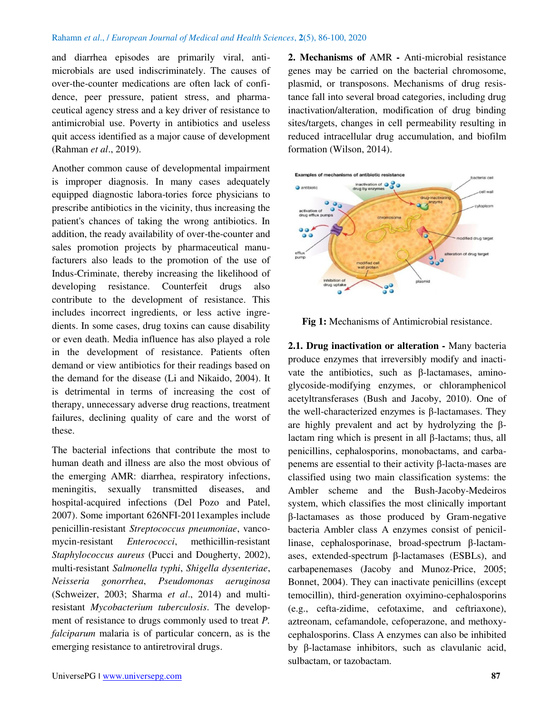and diarrhea episodes are primarily viral, antimicrobials are used indiscriminately. The causes of over-the-counter medications are often lack of confidence, peer pressure, patient stress, and pharmaceutical agency stress and a key driver of resistance to antimicrobial use. Poverty in antibiotics and useless quit access identified as a major cause of development (Rahman *et al*., 2019).

Another common cause of developmental impairment is improper diagnosis. In many cases adequately equipped diagnostic labora-tories force physicians to prescribe antibiotics in the vicinity, thus increasing the patient's chances of taking the wrong antibiotics. In addition, the ready availability of over-the-counter and sales promotion projects by pharmaceutical manufacturers also leads to the promotion of the use of Indus-Criminate, thereby increasing the likelihood of developing resistance. Counterfeit drugs also contribute to the development of resistance. This includes incorrect ingredients, or less active ingredients. In some cases, drug toxins can cause disability or even death. Media influence has also played a role in the development of resistance. Patients often demand or view antibiotics for their readings based on the demand for the disease (Li and Nikaido, 2004). It is detrimental in terms of increasing the cost of therapy, unnecessary adverse drug reactions, treatment failures, declining quality of care and the worst of these.

The bacterial infections that contribute the most to human death and illness are also the most obvious of the emerging AMR: diarrhea, respiratory infections, meningitis, sexually transmitted diseases, and hospital-acquired infections (Del Pozo and Patel, 2007). Some important 626NFI-2011examples include penicillin-resistant *Streptococcus pneumoniae*, vancomycin-resistant *Enterococci*, methicillin-resistant *Staphylococcus aureus* (Pucci and Dougherty, 2002), multi-resistant *Salmonella typhi*, *Shigella dysenteriae*, *Neisseria gonorrhea*, *Pseudomonas aeruginosa* (Schweizer, 2003; Sharma *et al*., 2014) and multiresistant *Mycobacterium tuberculosis*. The development of resistance to drugs commonly used to treat *P. falciparum* malaria is of particular concern, as is the emerging resistance to antiretroviral drugs.

**2. Mechanisms of** AMR **-** Anti-microbial resistance genes may be carried on the bacterial chromosome, plasmid, or transposons. Mechanisms of drug resistance fall into several broad categories, including drug inactivation/alteration, modification of drug binding sites/targets, changes in cell permeability resulting in reduced intracellular drug accumulation, and biofilm formation (Wilson, 2014).



**Fig 1:** Mechanisms of Antimicrobial resistance.

**2.1. Drug inactivation or alteration -** Many bacteria produce enzymes that irreversibly modify and inactivate the antibiotics, such as β-lactamases, aminoglycoside-modifying enzymes, or chloramphenicol acetyltransferases (Bush and Jacoby, 2010). One of the well-characterized enzymes is  $β$ -lactamases. They are highly prevalent and act by hydrolyzing the βlactam ring which is present in all β-lactams; thus, all penicillins, cephalosporins, monobactams, and carbapenems are essential to their activity β-lacta-mases are classified using two main classification systems: the Ambler scheme and the Bush-Jacoby-Medeiros system, which classifies the most clinically important β-lactamases as those produced by Gram-negative bacteria Ambler class A enzymes consist of penicillinase, cephalosporinase, broad-spectrum β-lactamases, extended-spectrum β-lactamases (ESBLs), and carbapenemases (Jacoby and Munoz-Price, 2005; Bonnet, 2004). They can inactivate penicillins (except temocillin), third-generation oxyimino-cephalosporins (e.g., cefta-zidime, cefotaxime, and ceftriaxone), aztreonam, cefamandole, cefoperazone, and methoxycephalosporins. Class A enzymes can also be inhibited by β-lactamase inhibitors, such as clavulanic acid, sulbactam, or tazobactam.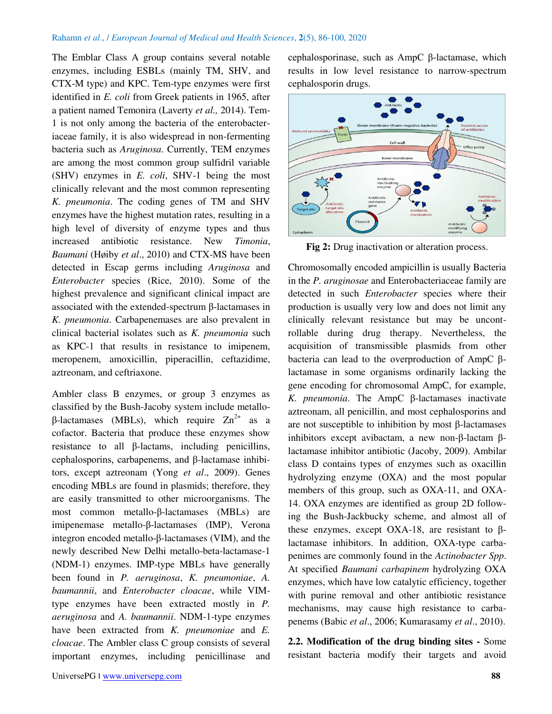The Emblar Class A group contains several notable enzymes, including ESBLs (mainly TM, SHV, and CTX-M type) and KPC. Tem-type enzymes were first identified in *E. coli* from Greek patients in 1965, after a patient named Temonira (Laverty *et al.,* 2014). Tem-1 is not only among the bacteria of the enterobacteriaceae family, it is also widespread in non-fermenting bacteria such as *Aruginosa*. Currently, TEM enzymes are among the most common group sulfidril variable (SHV) enzymes in *E. coli*, SHV-1 being the most clinically relevant and the most common representing *K. pneumonia*. The coding genes of TM and SHV enzymes have the highest mutation rates, resulting in a high level of diversity of enzyme types and thus increased antibiotic resistance. New *Timonia*, *Baumani* (Høiby *et al*., 2010) and CTX-MS have been detected in Escap germs including *Aruginosa* and *Enterobacter* species (Rice, 2010). Some of the highest prevalence and significant clinical impact are associated with the extended-spectrum β-lactamases in *K. pneumonia*. Carbapenemases are also prevalent in clinical bacterial isolates such as *K. pneumonia* such as KPC-1 that results in resistance to imipenem, meropenem, amoxicillin, piperacillin, ceftazidime, aztreonam, and ceftriaxone.

Ambler class B enzymes, or group 3 enzymes as classified by the Bush-Jacoby system include metalloβ-lactamases (MBLs), which require  $Zn^{2+}$  as a cofactor. Bacteria that produce these enzymes show resistance to all β-lactams, including penicillins, cephalosporins, carbapenems, and β-lactamase inhibitors, except aztreonam (Yong *et al*., 2009). Genes encoding MBLs are found in plasmids; therefore, they are easily transmitted to other microorganisms. The most common metallo-β-lactamases (MBLs) are imipenemase metallo-β-lactamases (IMP), Verona integron encoded metallo-β-lactamases (VIM), and the newly described New Delhi metallo-beta-lactamase-1 (NDM-1) enzymes. IMP-type MBLs have generally been found in *P. aeruginosa*, *K. pneumoniae*, *A. baumannii*, and *Enterobacter cloacae*, while VIMtype enzymes have been extracted mostly in *P. aeruginosa* and *A. baumannii*. NDM-1-type enzymes have been extracted from *K. pneumoniae* and *E. cloacae*. The Ambler class C group consists of several important enzymes, including penicillinase and cephalosporinase, such as AmpC β-lactamase, which results in low level resistance to narrow-spectrum cephalosporin drugs.



**Fig 2:** Drug inactivation or alteration process.

Chromosomally encoded ampicillin is usually Bacteria in the *P. aruginosae* and Enterobacteriaceae family are detected in such *Enterobacter* species where their production is usually very low and does not limit any clinically relevant resistance but may be uncontrollable during drug therapy. Nevertheless, the acquisition of transmissible plasmids from other bacteria can lead to the overproduction of AmpC βlactamase in some organisms ordinarily lacking the gene encoding for chromosomal AmpC, for example, *K. pneumonia*. The AmpC β-lactamases inactivate aztreonam, all penicillin, and most cephalosporins and are not susceptible to inhibition by most β-lactamases inhibitors except avibactam, a new non-β-lactam βlactamase inhibitor antibiotic (Jacoby, 2009). Ambilar class D contains types of enzymes such as oxacillin hydrolyzing enzyme (OXA) and the most popular members of this group, such as OXA-11, and OXA-14. OXA enzymes are identified as group 2D following the Bush-Jackbucky scheme, and almost all of these enzymes, except OXA-18, are resistant to βlactamase inhibitors. In addition, OXA-type carbapenimes are commonly found in the *Actinobacter Spp*. At specified *Baumani carbapinem* hydrolyzing OXA enzymes, which have low catalytic efficiency, together with purine removal and other antibiotic resistance mechanisms, may cause high resistance to carbapenems (Babic *et al*., 2006; Kumarasamy *et al*., 2010).

**2.2. Modification of the drug binding sites -** Some resistant bacteria modify their targets and avoid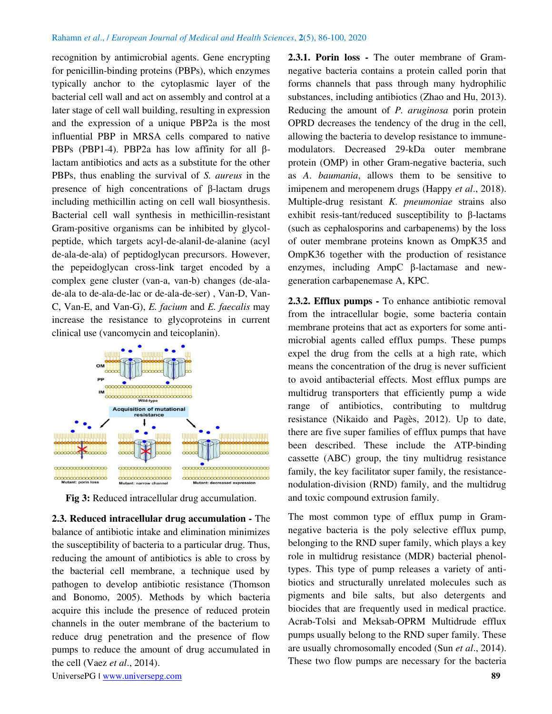recognition by antimicrobial agents. Gene encrypting for penicillin-binding proteins (PBPs), which enzymes typically anchor to the cytoplasmic layer of the bacterial cell wall and act on assembly and control at a later stage of cell wall building, resulting in expression and the expression of a unique PBP2a is the most influential PBP in MRSA cells compared to native PBPs (PBP1-4). PBP2a has low affinity for all βlactam antibiotics and acts as a substitute for the other PBPs, thus enabling the survival of *S. aureus* in the presence of high concentrations of β-lactam drugs including methicillin acting on cell wall biosynthesis. Bacterial cell wall synthesis in methicillin-resistant Gram-positive organisms can be inhibited by glycolpeptide, which targets acyl-de-alanil-de-alanine (acyl de-ala-de-ala) of peptidoglycan precursors. However, the pepeidoglycan cross-link target encoded by a complex gene cluster (van-a, van-b) changes (de-alade-ala to de-ala-de-lac or de-ala-de-ser) , Van-D, Van-C, Van-E, and Van-G), *E. facium* and *E. faecalis* may increase the resistance to glycoproteins in current clinical use (vancomycin and teicoplanin).



**Fig 3:** Reduced intracellular drug accumulation.

**2.3. Reduced intracellular drug accumulation -** The balance of antibiotic intake and elimination minimizes the susceptibility of bacteria to a particular drug. Thus, reducing the amount of antibiotics is able to cross by the bacterial cell membrane, a technique used by pathogen to develop antibiotic resistance (Thomson and Bonomo, 2005). Methods by which bacteria acquire this include the presence of reduced protein channels in the outer membrane of the bacterium to reduce drug penetration and the presence of flow pumps to reduce the amount of drug accumulated in the cell (Vaez *et al*., 2014).

**2.3.1. Porin loss -** The outer membrane of Gramnegative bacteria contains a protein called porin that forms channels that pass through many hydrophilic substances, including antibiotics (Zhao and Hu, 2013). Reducing the amount of *P. aruginosa* porin protein OPRD decreases the tendency of the drug in the cell, allowing the bacteria to develop resistance to immunemodulators. Decreased 29-kDa outer membrane protein (OMP) in other Gram-negative bacteria, such as *A*. *baumania*, allows them to be sensitive to imipenem and meropenem drugs (Happy *et al*., 2018). Multiple-drug resistant *K. pneumoniae* strains also exhibit resis-tant/reduced susceptibility to β-lactams (such as cephalosporins and carbapenems) by the loss of outer membrane proteins known as OmpK35 and OmpK36 together with the production of resistance enzymes, including AmpC β-lactamase and newgeneration carbapenemase A, KPC.

**2.3.2. Efflux pumps -** To enhance antibiotic removal from the intracellular bogie, some bacteria contain membrane proteins that act as exporters for some antimicrobial agents called efflux pumps. These pumps expel the drug from the cells at a high rate, which means the concentration of the drug is never sufficient to avoid antibacterial effects. Most efflux pumps are multidrug transporters that efficiently pump a wide range of antibiotics, contributing to multdrug resistance (Nikaido and Pagès, 2012). Up to date, there are five super families of efflux pumps that have been described. These include the ATP-binding cassette (ABC) group, the tiny multidrug resistance family, the key facilitator super family, the resistancenodulation-division (RND) family, and the multidrug and toxic compound extrusion family.

The most common type of efflux pump in Gramnegative bacteria is the poly selective efflux pump, belonging to the RND super family, which plays a key role in multidrug resistance (MDR) bacterial phenoltypes. This type of pump releases a variety of antibiotics and structurally unrelated molecules such as pigments and bile salts, but also detergents and biocides that are frequently used in medical practice. Acrab-Tolsi and Meksab-OPRM Multidrude efflux pumps usually belong to the RND super family. These are usually chromosomally encoded (Sun *et al*., 2014). These two flow pumps are necessary for the bacteria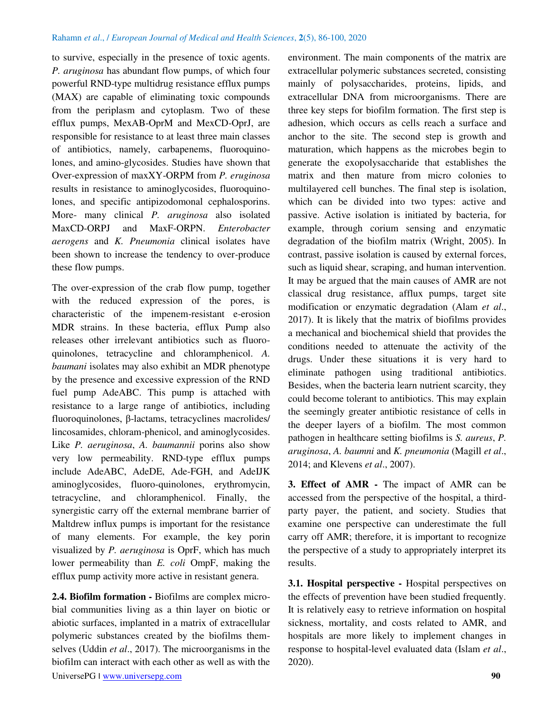to survive, especially in the presence of toxic agents. *P. aruginosa* has abundant flow pumps, of which four powerful RND-type multidrug resistance efflux pumps (MAX) are capable of eliminating toxic compounds from the periplasm and cytoplasm. Two of these efflux pumps, MexAB-OprM and MexCD-OprJ, are responsible for resistance to at least three main classes of antibiotics, namely, carbapenems, fluoroquinolones, and amino-glycosides. Studies have shown that Over-expression of maxXY-ORPM from *P. eruginosa*  results in resistance to aminoglycosides, fluoroquinolones, and specific antipizodomonal cephalosporins. More- many clinical *P. aruginosa* also isolated MaxCD-ORPJ and MaxF-ORPN. *Enterobacter aerogens* and *K. Pneumonia* clinical isolates have been shown to increase the tendency to over-produce these flow pumps.

The over-expression of the crab flow pump, together with the reduced expression of the pores, is characteristic of the impenem-resistant e-erosion MDR strains. In these bacteria, efflux Pump also releases other irrelevant antibiotics such as fluoroquinolones, tetracycline and chloramphenicol. *A. baumani* isolates may also exhibit an MDR phenotype by the presence and excessive expression of the RND fuel pump AdeABC. This pump is attached with resistance to a large range of antibiotics, including fluoroquinolones, β-lactams, tetracyclines macrolides/ lincosamides, chloram-phenicol, and aminoglycosides. Like *P. aeruginosa*, *A. baumannii* porins also show very low permeability. RND-type efflux pumps include AdeABC, AdeDE, Ade-FGH, and AdeIJK aminoglycosides, fluoro-quinolones, erythromycin, tetracycline, and chloramphenicol. Finally, the synergistic carry off the external membrane barrier of Maltdrew influx pumps is important for the resistance of many elements. For example, the key porin visualized by *P. aeruginosa* is OprF, which has much lower permeability than *E. coli* OmpF, making the efflux pump activity more active in resistant genera.

UniversePG I [www.universepg.com](http://www.universepg.com/) **90 2.4. Biofilm formation -** Biofilms are complex microbial communities living as a thin layer on biotic or abiotic surfaces, implanted in a matrix of extracellular polymeric substances created by the biofilms themselves (Uddin *et al*., 2017). The microorganisms in the biofilm can interact with each other as well as with the

environment. The main components of the matrix are extracellular polymeric substances secreted, consisting mainly of polysaccharides, proteins, lipids, and extracellular DNA from microorganisms. There are three key steps for biofilm formation. The first step is adhesion, which occurs as cells reach a surface and anchor to the site. The second step is growth and maturation, which happens as the microbes begin to generate the exopolysaccharide that establishes the matrix and then mature from micro colonies to multilayered cell bunches. The final step is isolation, which can be divided into two types: active and passive. Active isolation is initiated by bacteria, for example, through corium sensing and enzymatic degradation of the biofilm matrix (Wright, 2005). In contrast, passive isolation is caused by external forces, such as liquid shear, scraping, and human intervention. It may be argued that the main causes of AMR are not classical drug resistance, afflux pumps, target site modification or enzymatic degradation (Alam *et al*., 2017). It is likely that the matrix of biofilms provides a mechanical and biochemical shield that provides the conditions needed to attenuate the activity of the drugs. Under these situations it is very hard to eliminate pathogen using traditional antibiotics. Besides, when the bacteria learn nutrient scarcity, they could become tolerant to antibiotics. This may explain the seemingly greater antibiotic resistance of cells in the deeper layers of a biofilm. The most common pathogen in healthcare setting biofilms is *S. aureus*, *P. aruginosa*, *A. baumni* and *K. pneumonia* (Magill *et al*., 2014; and Klevens *et al*., 2007).

**3. Effect of AMR -** The impact of AMR can be accessed from the perspective of the hospital, a thirdparty payer, the patient, and society. Studies that examine one perspective can underestimate the full carry off AMR; therefore, it is important to recognize the perspective of a study to appropriately interpret its results.

**3.1. Hospital perspective -** Hospital perspectives on the effects of prevention have been studied frequently. It is relatively easy to retrieve information on hospital sickness, mortality, and costs related to AMR, and hospitals are more likely to implement changes in response to hospital-level evaluated data (Islam *et al*., 2020).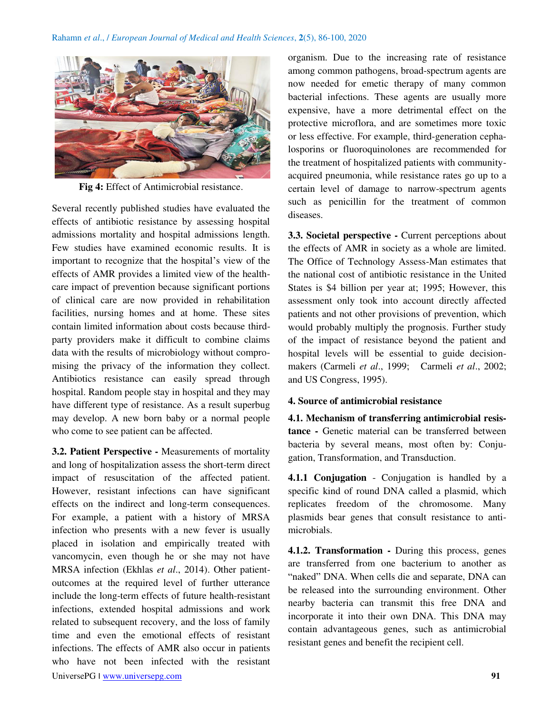

**Fig 4:** Effect of Antimicrobial resistance.

Several recently published studies have evaluated the effects of antibiotic resistance by assessing hospital admissions mortality and hospital admissions length. Few studies have examined economic results. It is important to recognize that the hospital's view of the effects of AMR provides a limited view of the healthcare impact of prevention because significant portions of clinical care are now provided in rehabilitation facilities, nursing homes and at home. These sites contain limited information about costs because thirdparty providers make it difficult to combine claims data with the results of microbiology without compromising the privacy of the information they collect. Antibiotics resistance can easily spread through hospital. Random people stay in hospital and they may have different type of resistance. As a result superbug may develop. A new born baby or a normal people who come to see patient can be affected.

UniversePG I [www.universepg.com](http://www.universepg.com/) **91 3.2. Patient Perspective -** Measurements of mortality and long of hospitalization assess the short-term direct impact of resuscitation of the affected patient. However, resistant infections can have significant effects on the indirect and long-term consequences. For example, a patient with a history of MRSA infection who presents with a new fever is usually placed in isolation and empirically treated with vancomycin, even though he or she may not have MRSA infection (Ekhlas *et al*., 2014). Other patientoutcomes at the required level of further utterance include the long-term effects of future health-resistant infections, extended hospital admissions and work related to subsequent recovery, and the loss of family time and even the emotional effects of resistant infections. The effects of AMR also occur in patients who have not been infected with the resistant

organism. Due to the increasing rate of resistance among common pathogens, broad-spectrum agents are now needed for emetic therapy of many common bacterial infections. These agents are usually more expensive, have a more detrimental effect on the protective microflora, and are sometimes more toxic or less effective. For example, third-generation cephalosporins or fluoroquinolones are recommended for the treatment of hospitalized patients with communityacquired pneumonia, while resistance rates go up to a certain level of damage to narrow-spectrum agents such as penicillin for the treatment of common diseases.

**3.3. Societal perspective - Current perceptions about** the effects of AMR in society as a whole are limited. The Office of Technology Assess-Man estimates that the national cost of antibiotic resistance in the United States is \$4 billion per year at; 1995; However, this assessment only took into account directly affected patients and not other provisions of prevention, which would probably multiply the prognosis. Further study of the impact of resistance beyond the patient and hospital levels will be essential to guide decisionmakers (Carmeli *et al*., 1999; Carmeli *et al*., 2002; and US Congress, 1995).

# **4. Source of antimicrobial resistance**

**4.1. Mechanism of transferring antimicrobial resistance -** Genetic material can be transferred between bacteria by several means, most often by: Conjugation, Transformation, and Transduction.

**4.1.1 Conjugation** - Conjugation is handled by a specific kind of round DNA called a plasmid, which replicates freedom of the chromosome. Many plasmids bear genes that consult resistance to antimicrobials.

**4.1.2. Transformation -** During this process, genes are transferred from one bacterium to another as "naked" DNA. When cells die and separate, DNA can be released into the surrounding environment. Other nearby bacteria can transmit this free DNA and incorporate it into their own DNA. This DNA may contain advantageous genes, such as antimicrobial resistant genes and benefit the recipient cell.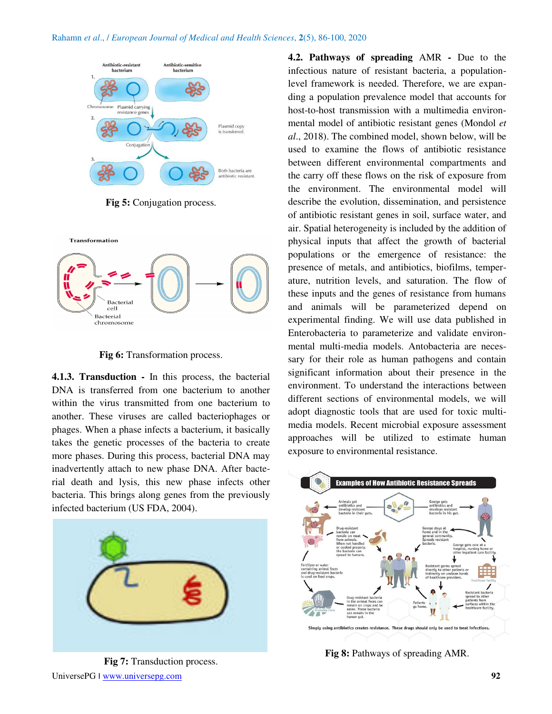

**Fig 5:** Conjugation process.



**Fig 6:** Transformation process.

**4.1.3. Transduction -** In this process, the bacterial DNA is transferred from one bacterium to another within the virus transmitted from one bacterium to another. These viruses are called bacteriophages or phages. When a phase infects a bacterium, it basically takes the genetic processes of the bacteria to create more phases. During this process, bacterial DNA may inadvertently attach to new phase DNA. After bacterial death and lysis, this new phase infects other bacteria. This brings along genes from the previously infected bacterium (US FDA, 2004).





**4.2. Pathways of spreading** AMR **-** Due to the infectious nature of resistant bacteria, a populationlevel framework is needed. Therefore, we are expanding a population prevalence model that accounts for host-to-host transmission with a multimedia environmental model of antibiotic resistant genes (Mondol *et al*., 2018). The combined model, shown below, will be used to examine the flows of antibiotic resistance between different environmental compartments and the carry off these flows on the risk of exposure from the environment. The environmental model will describe the evolution, dissemination, and persistence of antibiotic resistant genes in soil, surface water, and air. Spatial heterogeneity is included by the addition of physical inputs that affect the growth of bacterial populations or the emergence of resistance: the presence of metals, and antibiotics, biofilms, temperature, nutrition levels, and saturation. The flow of these inputs and the genes of resistance from humans and animals will be parameterized depend on experimental finding. We will use data published in Enterobacteria to parameterize and validate environmental multi-media models. Antobacteria are necessary for their role as human pathogens and contain significant information about their presence in the environment. To understand the interactions between different sections of environmental models, we will adopt diagnostic tools that are used for toxic multimedia models. Recent microbial exposure assessment approaches will be utilized to estimate human exposure to environmental resistance.



Fig 8: Pathways of spreading AMR.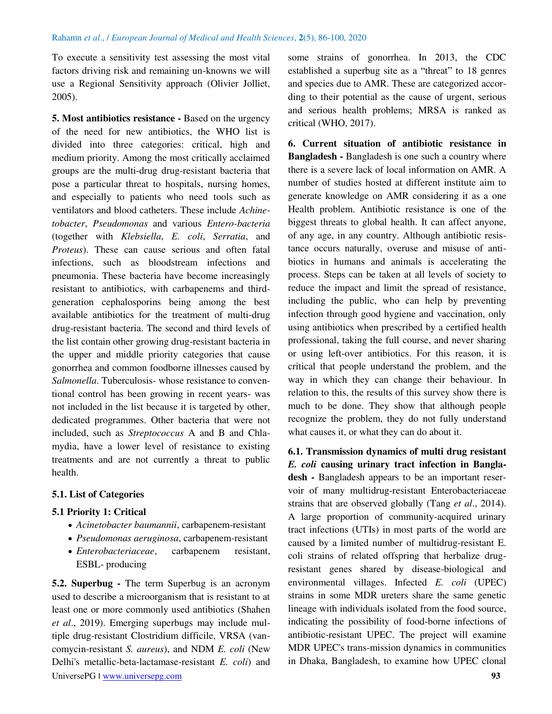To execute a sensitivity test assessing the most vital factors driving risk and remaining un-knowns we will use a Regional Sensitivity approach (Olivier Jolliet, 2005).

**5. Most antibiotics resistance -** Based on the urgency of the need for new antibiotics, the WHO list is divided into three categories: critical, high and medium priority. Among the most critically acclaimed groups are the multi-drug drug-resistant bacteria that pose a particular threat to hospitals, nursing homes, and especially to patients who need tools such as ventilators and blood catheters. These include *Achinetobacter*, *Pseudomonas* and various *Entero-bacteria* (together with *Klebsiella*, *E. coli*, *Serratia*, and *Proteus*). These can cause serious and often fatal infections, such as bloodstream infections and pneumonia. These bacteria have become increasingly resistant to antibiotics, with carbapenems and thirdgeneration cephalosporins being among the best available antibiotics for the treatment of multi-drug drug-resistant bacteria. The second and third levels of the list contain other growing drug-resistant bacteria in the upper and middle priority categories that cause gonorrhea and common foodborne illnesses caused by *Salmonella*. Tuberculosis- whose resistance to conventional control has been growing in recent years- was not included in the list because it is targeted by other, dedicated programmes. Other bacteria that were not included, such as *Streptococcus* A and B and Chlamydia, have a lower level of resistance to existing treatments and are not currently a threat to public health.

#### **5.1. List of Categories**

#### **5.1 Priority 1: Critical**

- *Acinetobacter baumannii*, carbapenem-resistant
- *Pseudomonas aeruginosa*, carbapenem-resistant
- *Enterobacteriaceae*, carbapenem resistant, ESBL- producing

UniversePG I [www.universepg.com](http://www.universepg.com/) **93 5.2. Superbug - The term Superbug is an acronym** used to describe a microorganism that is resistant to at least one or more commonly used antibiotics (Shahen *et al*., 2019). Emerging superbugs may include multiple drug-resistant Clostridium difficile, VRSA (vancomycin-resistant *S. aureus*), and NDM *E. coli* (New Delhi's metallic-beta-lactamase-resistant *E. coli*) and

some strains of gonorrhea. In 2013, the CDC established a superbug site as a "threat" to 18 genres and species due to AMR. These are categorized according to their potential as the cause of urgent, serious and serious health problems; MRSA is ranked as critical (WHO, 2017).

**6. Current situation of antibiotic resistance in Bangladesh -** Bangladesh is one such a country where there is a severe lack of local information on AMR. A number of studies hosted at different institute aim to generate knowledge on AMR considering it as a [one](https://www.cdc.gov/onehealth/)  [Health](https://www.cdc.gov/onehealth/) problem. Antibiotic resistance is one of the biggest threats to global health. It can affect anyone, of any age, in any country. Although antibiotic resistance occurs naturally, overuse and misuse of antibiotics in humans and animals is accelerating the process. Steps can be taken at all levels of society to reduce the impact and limit the spread of resistance, including the public, who can help by preventing infection through good hygiene and vaccination, only using antibiotics when prescribed by a certified health professional, taking the full course, and never sharing or using left-over antibiotics. For this reason, it is critical that people understand the problem, and the way in which they can change their behaviour. In relation to this, the results of this survey show there is much to be done. They show that although people recognize the problem, they do not fully understand what causes it, or what they can do about it.

**6.1. Transmission dynamics of multi drug resistant**  *E. coli* **causing urinary tract infection in Bangladesh -** Bangladesh appears to be an important reservoir of many multidrug-resistant Enterobacteriaceae strains that are observed globally (Tang *et al*., 2014). A large proportion of community-acquired urinary tract infections (UTIs) in most parts of the world are caused by a limited number of multidrug-resistant E. coli strains of related offspring that herbalize drugresistant genes shared by disease-biological and environmental villages. Infected *E. coli* (UPEC) strains in some MDR ureters share the same genetic lineage with individuals isolated from the food source, indicating the possibility of food-borne infections of antibiotic-resistant UPEC. The project will examine MDR UPEC's trans-mission dynamics in communities in Dhaka, Bangladesh, to examine how UPEC clonal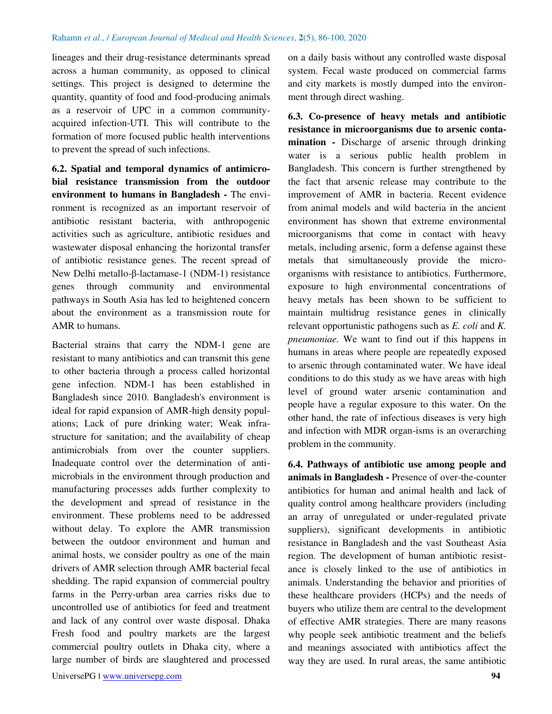#### Rahamn *et al*., / *European Journal of Medical and Health Sciences*, **2**(5), 86-100, 2020

lineages and their drug-resistance determinants spread across a human community, as opposed to clinical settings. This project is designed to determine the quantity, quantity of food and food-producing animals as a reservoir of UPC in a common communityacquired infection-UTI. This will contribute to the formation of more focused public health interventions to prevent the spread of such infections.

**6.2. Spatial and temporal dynamics of antimicrobial resistance transmission from the outdoor environment to humans in Bangladesh -** The environment is recognized as an important reservoir of antibiotic resistant bacteria, with anthropogenic activities such as agriculture, antibiotic residues and wastewater disposal enhancing the horizontal transfer of antibiotic resistance genes. The recent spread of New Delhi metallo-β-lactamase-1 (NDM-1) resistance genes through community and environmental pathways in South Asia has led to heightened concern about the environment as a transmission route for AMR to humans.

Bacterial strains that carry the NDM-1 gene are resistant to many antibiotics and can transmit this gene to other bacteria through a process called horizontal gene infection. NDM-1 has been established in Bangladesh since 2010. Bangladesh's environment is ideal for rapid expansion of AMR-high density populations; Lack of pure drinking water; Weak infrastructure for sanitation; and the availability of cheap antimicrobials from over the counter suppliers. Inadequate control over the determination of antimicrobials in the environment through production and manufacturing processes adds further complexity to the development and spread of resistance in the environment. These problems need to be addressed without delay. To explore the AMR transmission between the outdoor environment and human and animal hosts, we consider poultry as one of the main drivers of AMR selection through AMR bacterial fecal shedding. The rapid expansion of commercial poultry farms in the Perry-urban area carries risks due to uncontrolled use of antibiotics for feed and treatment and lack of any control over waste disposal. Dhaka Fresh food and poultry markets are the largest commercial poultry outlets in Dhaka city, where a large number of birds are slaughtered and processed on a daily basis without any controlled waste disposal system. Fecal waste produced on commercial farms and city markets is mostly dumped into the environment through direct washing.

**6.3. Co-presence of heavy metals and antibiotic resistance in microorganisms due to arsenic contamination -** Discharge of arsenic through drinking water is a serious public health problem in Bangladesh. This concern is further strengthened by the fact that arsenic release may contribute to the improvement of AMR in bacteria. Recent evidence from animal models and wild bacteria in the ancient environment has shown that extreme environmental microorganisms that come in contact with heavy metals, including arsenic, form a defense against these metals that simultaneously provide the microorganisms with resistance to antibiotics. Furthermore, exposure to high environmental concentrations of heavy metals has been shown to be sufficient to maintain multidrug resistance genes in clinically relevant opportunistic pathogens such as *E. coli* and *K. pneumoniae.* We want to find out if this happens in humans in areas where people are repeatedly exposed to arsenic through contaminated water. We have ideal conditions to do this study as we have areas with high level of ground water arsenic contamination and people have a regular exposure to this water. On the other hand, the rate of infectious diseases is very high and infection with MDR organ-isms is an overarching problem in the community.

**6.4. Pathways of antibiotic use among people and animals in Bangladesh -** Presence of over-the-counter antibiotics for human and animal health and lack of quality control among healthcare providers (including an array of unregulated or under-regulated private suppliers), significant developments in antibiotic resistance in Bangladesh and the vast Southeast Asia region. The development of human antibiotic resistance is closely linked to the use of antibiotics in animals. Understanding the behavior and priorities of these healthcare providers (HCPs) and the needs of buyers who utilize them are central to the development of effective AMR strategies. There are many reasons why people seek antibiotic treatment and the beliefs and meanings associated with antibiotics affect the way they are used. In rural areas, the same antibiotic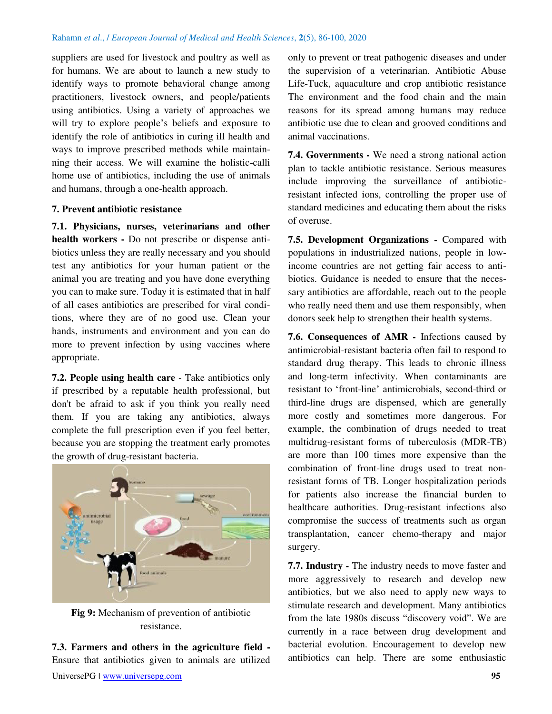suppliers are used for livestock and poultry as well as for humans. We are about to launch a new study to identify ways to promote behavioral change among practitioners, livestock owners, and people/patients using antibiotics. Using a variety of approaches we will try to explore people's beliefs and exposure to identify the role of antibiotics in curing ill health and ways to improve prescribed methods while maintainning their access. We will examine the holistic-calli home use of antibiotics, including the use of animals and humans, through a one-health approach.

## **7. Prevent antibiotic resistance**

**7.1. Physicians, nurses, veterinarians and other health workers -** Do not prescribe or dispense antibiotics unless they are really necessary and you should test any antibiotics for your human patient or the animal you are treating and you have done everything you can to make sure. Today it is estimated that in half of all cases antibiotics are prescribed for viral conditions, where they are of no good use. Clean your hands, instruments and environment and you can do more to prevent infection by using vaccines where appropriate.

**7.2. People using health care** - Take antibiotics only if prescribed by a reputable health professional, but don't be afraid to ask if you think you really need them. If you are taking any antibiotics, always complete the full prescription even if you feel better, because you are stopping the treatment early promotes the growth of drug-resistant bacteria.



**Fig 9:** Mechanism of prevention of antibiotic resistance.

**7.3. Farmers and others in the agriculture field -**  Ensure that antibiotics given to animals are utilized

UniversePG I [www.universepg.com](http://www.universepg.com/) **95** 

only to prevent or treat pathogenic diseases and under the supervision of a veterinarian. Antibiotic Abuse Life-Tuck, aquaculture and crop antibiotic resistance The environment and the food chain and the main reasons for its spread among humans may reduce antibiotic use due to clean and grooved conditions and animal vaccinations.

**7.4. Governments -** We need a strong national action plan to tackle antibiotic resistance. Serious measures include improving the surveillance of antibioticresistant infected ions, controlling the proper use of standard medicines and educating them about the risks of overuse.

**7.5. Development Organizations -** Compared with populations in industrialized nations, people in lowincome countries are not getting fair access to antibiotics. Guidance is needed to ensure that the necessary antibiotics are affordable, reach out to the people who really need them and use them responsibly, when donors seek help to strengthen their health systems.

**7.6. Consequences of AMR -** Infections caused by antimicrobial-resistant bacteria often fail to respond to standard drug therapy. This leads to chronic illness and long-term infectivity. When contaminants are resistant to 'front-line' antimicrobials, second-third or third-line drugs are dispensed, which are generally more costly and sometimes more dangerous. For example, the combination of drugs needed to treat multidrug-resistant forms of tuberculosis (MDR-TB) are more than 100 times more expensive than the combination of front-line drugs used to treat nonresistant forms of TB. Longer hospitalization periods for patients also increase the financial burden to healthcare authorities. Drug-resistant infections also compromise the success of treatments such as organ transplantation, cancer chemo-therapy and major surgery.

**7.7. Industry -** The industry needs to move faster and more aggressively to research and develop new antibiotics, but we also need to apply new ways to stimulate research and development. Many antibiotics from the late 1980s discuss "discovery void". We are currently in a race between drug development and bacterial evolution. Encouragement to develop new antibiotics can help. There are some enthusiastic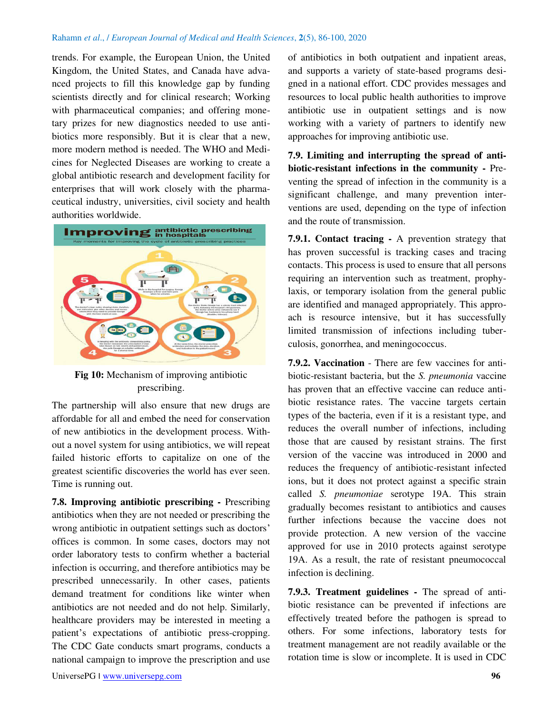#### Rahamn *et al*., / *European Journal of Medical and Health Sciences*, **2**(5), 86-100, 2020

trends. For example, the European Union, the United Kingdom, the United States, and Canada have advanced projects to fill this knowledge gap by funding scientists directly and for clinical research; Working with pharmaceutical companies; and offering monetary prizes for new diagnostics needed to use antibiotics more responsibly. But it is clear that a new, more modern method is needed. The WHO and Medicines for Neglected Diseases are working to create a global antibiotic research and development facility for enterprises that will work closely with the pharmaceutical industry, universities, civil society and health authorities worldwide.



**Fig 10:** Mechanism of improving antibiotic prescribing.

The partnership will also ensure that new drugs are affordable for all and embed the need for conservation of new antibiotics in the development process. Without a novel system for using antibiotics, we will repeat failed historic efforts to capitalize on one of the greatest scientific discoveries the world has ever seen. Time is running out.

**7.8. Improving antibiotic prescribing -** Prescribing antibiotics when they are not needed or prescribing the wrong antibiotic in outpatient settings such as doctors' offices is common. In some cases, doctors may not order laboratory tests to confirm whether a bacterial infection is occurring, and therefore antibiotics may be prescribed unnecessarily. In other cases, patients demand treatment for conditions like winter when antibiotics are not needed and do not help. Similarly, healthcare providers may be interested in meeting a patient's expectations of antibiotic press-cropping. The CDC Gate conducts smart programs, conducts a national campaign to improve the prescription and use

of antibiotics in both outpatient and inpatient areas, and supports a variety of state-based programs designed in a national effort. CDC provides messages and resources to local public health authorities to improve antibiotic use in outpatient settings and is now working with a variety of partners to identify new approaches for improving antibiotic use.

**7.9. Limiting and interrupting the spread of antibiotic-resistant infections in the community -** Preventing the spread of infection in the community is a significant challenge, and many prevention interventions are used, depending on the type of infection and the route of transmission.

**7.9.1. Contact tracing -** A prevention strategy that has proven successful is tracking cases and tracing contacts. This process is used to ensure that all persons requiring an intervention such as treatment, prophylaxis, or temporary isolation from the general public are identified and managed appropriately. This approach is resource intensive, but it has successfully limited transmission of infections including tuberculosis, gonorrhea, and meningococcus.

**7.9.2. Vaccination** - There are few vaccines for antibiotic-resistant bacteria, but the *S. pneumonia* vaccine has proven that an effective vaccine can reduce antibiotic resistance rates. The vaccine targets certain types of the bacteria, even if it is a resistant type, and reduces the overall number of infections, including those that are caused by resistant strains. The first version of the vaccine was introduced in 2000 and reduces the frequency of antibiotic-resistant infected ions, but it does not protect against a specific strain called *S. pneumoniae* serotype 19A. This strain gradually becomes resistant to antibiotics and causes further infections because the vaccine does not provide protection. A new version of the vaccine approved for use in 2010 protects against serotype 19A. As a result, the rate of resistant pneumococcal infection is declining.

**7.9.3. Treatment guidelines -** The spread of antibiotic resistance can be prevented if infections are effectively treated before the pathogen is spread to others. For some infections, laboratory tests for treatment management are not readily available or the rotation time is slow or incomplete. It is used in CDC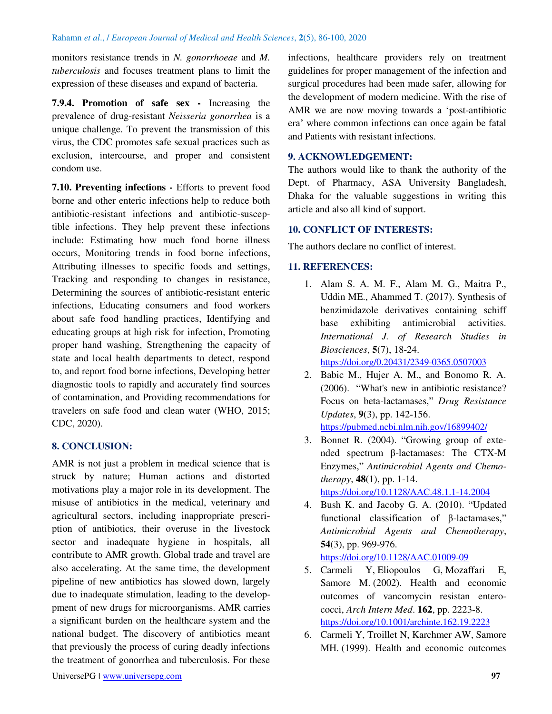monitors resistance trends in *N. gonorrhoeae* and *M. tuberculosis* and focuses treatment plans to limit the expression of these diseases and expand of bacteria.

**7.9.4. Promotion of safe sex -** Increasing the prevalence of drug-resistant *Neisseria gonorrhea* is a unique challenge. To prevent the transmission of this virus, the CDC promotes safe sexual practices such as exclusion, intercourse, and proper and consistent condom use.

**7.10. Preventing infections -** Efforts to prevent food borne and other enteric infections help to reduce both antibiotic-resistant infections and antibiotic-susceptible infections. They help prevent these infections include: Estimating how much food borne illness occurs, Monitoring trends in food borne infections, Attributing illnesses to specific foods and settings, Tracking and responding to changes in resistance, Determining the sources of antibiotic-resistant enteric infections, Educating consumers and food workers about safe food handling practices, Identifying and educating groups at high risk for infection, Promoting proper hand washing, Strengthening the capacity of state and local health departments to detect, respond to, and report food borne infections, Developing better diagnostic tools to rapidly and accurately find sources of contamination, and Providing recommendations for travelers on safe food and clean water (WHO, 2015; CDC, 2020).

# **8. CONCLUSION:**

AMR is not just a problem in medical science that is struck by nature; Human actions and distorted motivations play a major role in its development. The misuse of antibiotics in the medical, veterinary and agricultural sectors, including inappropriate prescription of antibiotics, their overuse in the livestock sector and inadequate hygiene in hospitals, all contribute to AMR growth. Global trade and travel are also accelerating. At the same time, the development pipeline of new antibiotics has slowed down, largely due to inadequate stimulation, leading to the developpment of new drugs for microorganisms. AMR carries a significant burden on the healthcare system and the national budget. The discovery of antibiotics meant that previously the process of curing deadly infections the treatment of gonorrhea and tuberculosis. For these

infections, healthcare providers rely on treatment guidelines for proper management of the infection and surgical procedures had been made safer, allowing for the development of modern medicine. With the rise of AMR we are now moving towards a 'post-antibiotic era' where common infections can once again be fatal and Patients with resistant infections.

# **9. ACKNOWLEDGEMENT:**

The authors would like to thank the authority of the Dept. of Pharmacy, ASA University Bangladesh, Dhaka for the valuable suggestions in writing this article and also all kind of support.

## **10. CONFLICT OF INTERESTS:**

The authors declare no conflict of interest.

# **11. REFERENCES:**

- 1. Alam S. A. M. F., Alam M. G., Maitra P., Uddin ME., Ahammed T. (2017). Synthesis of benzimidazole derivatives containing schiff base exhibiting antimicrobial activities. *International J. of Research Studies in Biosciences*, **5**(7), 18-24. <https://doi.org/0.20431/2349-0365.0507003>
- 2. Babic M., Hujer A. M., and Bonomo R. A. (2006). "What's new in antibiotic resistance? Focus on beta-lactamases," *Drug Resistance Updates*, **9**(3), pp. 142-156. <https://pubmed.ncbi.nlm.nih.gov/16899402/>
- 3. Bonnet R. (2004). "Growing group of extended spectrum β-lactamases: The CTX-M Enzymes," *Antimicrobial Agents and Chemotherapy*, **48**(1), pp. 1-14. <https://doi.org/10.1128/AAC.48.1.1-14.2004>
- 4. Bush K. and Jacoby G. A. (2010). "Updated functional classification of β-lactamases," *Antimicrobial Agents and Chemotherapy*, **54**(3), pp. 969-976.

<https://doi.org/10.1128/AAC.01009-09>

- 5. Carmeli Y, Eliopoulos G, Mozaffari E, Samore M. (2002). Health and economic outcomes of vancomycin resistan enterococci, *Arch Intern Med*. **162**, pp. 2223-8. <https://doi.org/10.1001/archinte.162.19.2223>
- 6. Carmeli Y, Troillet N, Karchmer AW, Samore MH. (1999). Health and economic outcomes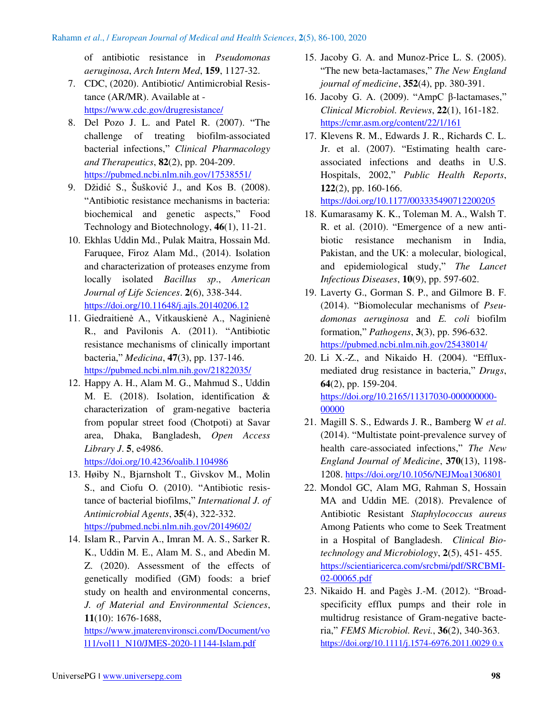of antibiotic resistance in *Pseudomonas aeruginosa*, *Arch Intern Med*, **159**, 1127-32.

- 7. CDC, (2020). Antibiotic/ Antimicrobial Resistance (AR/MR). Available at <https://www.cdc.gov/drugresistance/>
- 8. Del Pozo J. L. and Patel R. (2007). "The challenge of treating biofilm-associated bacterial infections," *Clinical Pharmacology and Therapeutics*, **82**(2), pp. 204-209. <https://pubmed.ncbi.nlm.nih.gov/17538551/>
- 9. Džidić S., Šušković J., and Kos B. (2008). "Antibiotic resistance mechanisms in bacteria: biochemical and genetic aspects," Food Technology and Biotechnology, **46**(1), 11-21.
- 10. Ekhlas Uddin Md., Pulak Maitra, Hossain Md. Faruquee, Firoz Alam Md., (2014). Isolation and characterization of proteases enzyme from locally isolated *Bacillus sp*., *American Journal of Life Sciences*. **2**(6), 338-344. <https://doi.org/10.11648/j.ajls.20140206.12>
- 11. Giedraitienė A., Vitkauskienė A., Naginienė R., and Pavilonis A. (2011). "Antibiotic resistance mechanisms of clinically important bacteria," *Medicina*, **47**(3), pp. 137-146. <https://pubmed.ncbi.nlm.nih.gov/21822035/>
- 12. Happy A. H., Alam M. G., Mahmud S., Uddin M. E. (2018). Isolation, identification & characterization of gram-negative bacteria from popular street food (Chotpoti) at Savar area, Dhaka, Bangladesh, *Open Access Library J*. **5**, e4986.

<https://doi.org/10.4236/oalib.1104986>

- 13. Høiby N., Bjarnsholt T., Givskov M., Molin S., and Ciofu O. (2010). "Antibiotic resistance of bacterial biofilms," *International J. of Antimicrobial Agents*, **35**(4), 322-332. <https://pubmed.ncbi.nlm.nih.gov/20149602/>
- 14. Islam R., Parvin A., Imran M. A. S., Sarker R. K., Uddin M. E., Alam M. S., and Abedin M. Z. (2020). Assessment of the effects of genetically modified (GM) foods: a brief study on health and environmental concerns, *J. of Material and Environmental Sciences*, **11**(10): 1676-1688,

[https://www.jmaterenvironsci.com/Document/vo](https://www.jmaterenvironsci.com/Document/vol11/vol11_N10/JMES-2020-11144-Islam.pdf) [l11/vol11\\_N10/JMES-2020-11144-Islam.pdf](https://www.jmaterenvironsci.com/Document/vol11/vol11_N10/JMES-2020-11144-Islam.pdf)

- 15. Jacoby G. A. and Munoz-Price L. S. (2005). "The new beta-lactamases," *The New England journal of medicine*, **352**(4), pp. 380-391.
- 16. Jacoby G. A. (2009). "AmpC β-lactamases," *Clinical Microbiol. Reviews*, **22**(1), 161-182. <https://cmr.asm.org/content/22/1/161>
- 17. Klevens R. M., Edwards J. R., Richards C. L. Jr. et al. (2007). "Estimating health careassociated infections and deaths in U.S. Hospitals, 2002," *Public Health Reports*, **122**(2), pp. 160-166. <https://doi.org/10.1177/003335490712200205>
- 18. Kumarasamy K. K., Toleman M. A., Walsh T. R. et al. (2010). "Emergence of a new antibiotic resistance mechanism in India, Pakistan, and the UK: a molecular, biological, and epidemiological study," *The Lancet Infectious Diseases*, **10**(9), pp. 597-602.
- 19. Laverty G., Gorman S. P., and Gilmore B. F. (2014). "Biomolecular mechanisms of *Pseudomonas aeruginosa* and *E. coli* biofilm formation," *Pathogens*, **3**(3), pp. 596-632. <https://pubmed.ncbi.nlm.nih.gov/25438014/>
- 20. Li X.-Z., and Nikaido H. (2004). "Effluxmediated drug resistance in bacteria," *Drugs*, **64**(2), pp. 159-204. https://doi.org/10.2165/11317030-0000000000-[00000](https://doi.org/10.2165/11317030-000000000-00000)
- 21. Magill S. S., Edwards J. R., Bamberg W *et al*. (2014). "Multistate point-prevalence survey of health care-associated infections," *The New England Journal of Medicine*, **370**(13), 1198- 1208. <https://doi.org/10.1056/NEJMoa1306801>
- 22. Mondol GC, Alam MG, Rahman S, Hossain MA and Uddin ME. (2018). Prevalence of Antibiotic Resistant *Staphylococcus aureus* Among Patients who come to Seek Treatment in a Hospital of Bangladesh. *Clinical Biotechnology and Microbiology*, **2**(5), 451- 455. [https://scientiaricerca.com/srcbmi/pdf/SRCBMI-](https://scientiaricerca.com/srcbmi/pdf/SRCBMI-02-00065.pdf)[02-00065.pdf](https://scientiaricerca.com/srcbmi/pdf/SRCBMI-02-00065.pdf)
- 23. Nikaido H. and Pagès J.-M. (2012). "Broadspecificity efflux pumps and their role in multidrug resistance of Gram-negative bacteria," *FEMS Microbiol. Revi.*, **36**(2), 340-363. [https://doi.org/10.1111/j.1574-6976.2011.0029 0.x](https://doi.org/10.1111/j.1574-6976.2011.0029%200.x)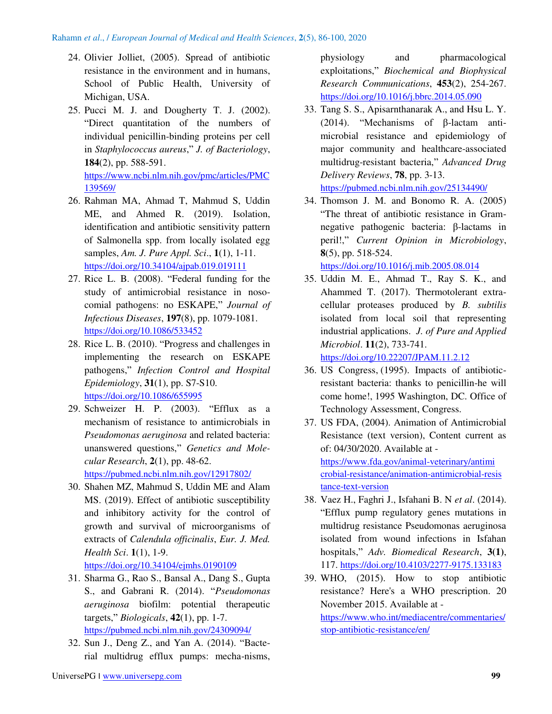- 24. Olivier Jolliet, (2005). Spread of antibiotic resistance in the environment and in humans, School of Public Health, University of Michigan, USA.
- 25. Pucci M. J. and Dougherty T. J. (2002). "Direct quantitation of the numbers of individual penicillin-binding proteins per cell in *Staphylococcus aureus*," *J. of Bacteriology*, **184**(2), pp. 588-591. [https://www.ncbi.nlm.nih.gov/pmc/articles/PMC](https://www.ncbi.nlm.nih.gov/pmc/articles/PMC139569/) [139569/](https://www.ncbi.nlm.nih.gov/pmc/articles/PMC139569/)
- 26. Rahman MA, Ahmad T, Mahmud S, Uddin ME, and Ahmed R. (2019). Isolation, identification and antibiotic sensitivity pattern of Salmonella spp. from locally isolated egg samples, *Am. J. Pure Appl. Sci*., **1**(1), 1-11. <https://doi.org/10.34104/ajpab.019.019111>
- 27. Rice L. B. (2008). "Federal funding for the study of antimicrobial resistance in nosocomial pathogens: no ESKAPE," *Journal of Infectious Diseases*, **197**(8), pp. 1079-1081. <https://doi.org/10.1086/533452>
- 28. Rice L. B. (2010). "Progress and challenges in implementing the research on ESKAPE pathogens," *Infection Control and Hospital Epidemiology*, **31**(1), pp. S7-S10. <https://doi.org/10.1086/655995>
- 29. Schweizer H. P. (2003). "Efflux as a mechanism of resistance to antimicrobials in *Pseudomonas aeruginosa* and related bacteria: unanswered questions," *Genetics and Molecular Research*, **2**(1), pp. 48-62. <https://pubmed.ncbi.nlm.nih.gov/12917802/>
- 30. Shahen MZ, Mahmud S, Uddin ME and Alam MS. (2019). Effect of antibiotic susceptibility and inhibitory activity for the control of growth and survival of microorganisms of extracts of *Calendula officinalis*, *Eur. J. Med. Health Sci*. **1**(1), 1-9.

<https://doi.org/10.34104/ejmhs.0190109>

- 31. Sharma G., Rao S., Bansal A., Dang S., Gupta S., and Gabrani R. (2014). "*Pseudomonas aeruginosa* biofilm: potential therapeutic targets," *Biologicals*, **42**(1), pp. 1-7. <https://pubmed.ncbi.nlm.nih.gov/24309094/>
- 32. Sun J., Deng Z., and Yan A. (2014). "Bacterial multidrug efflux pumps: mecha-nisms,

physiology and pharmacological exploitations," *Biochemical and Biophysical Research Communications*, **453**(2), 254-267. <https://doi.org/10.1016/j.bbrc.2014.05.090>

- 33. Tang S. S., Apisarnthanarak A., and Hsu L. Y. (2014). "Mechanisms of β-lactam antimicrobial resistance and epidemiology of major community and healthcare-associated multidrug-resistant bacteria," *Advanced Drug Delivery Reviews*, **78**, pp. 3-13. <https://pubmed.ncbi.nlm.nih.gov/25134490/>
- 34. Thomson J. M. and Bonomo R. A. (2005) "The threat of antibiotic resistance in Gramnegative pathogenic bacteria: β-lactams in peril!," *Current Opinion in Microbiology*, **8**(5), pp. 518-524.

## <https://doi.org/10.1016/j.mib.2005.08.014>

35. Uddin M. E., Ahmad T., Ray S. K., and Ahammed T. (2017). Thermotolerant extracellular proteases produced by *B. subtilis* isolated from local soil that representing industrial applications. *J. of Pure and Applied Microbiol*. **11**(2), 733-741.

<https://doi.org/10.22207/JPAM.11.2.12>

- 36. US Congress, (1995). Impacts of antibioticresistant bacteria: thanks to penicillin-he will come home!, 1995 Washington, DC. Office of Technology Assessment, Congress.
- 37. US FDA, (2004). Animation of Antimicrobial Resistance (text version), Content current as of: 04/30/2020. Available at [https://www.fda.gov/animal-veterinary/antimi](https://www.fda.gov/animal-veterinary/antimi%20crobial-resistance/animation-antimicrobial-resis%20tance-text-version)  [crobial-resistance/animation-antimicrobial-resis](https://www.fda.gov/animal-veterinary/antimi%20crobial-resistance/animation-antimicrobial-resis%20tance-text-version)  [tance-text-version](https://www.fda.gov/animal-veterinary/antimi%20crobial-resistance/animation-antimicrobial-resis%20tance-text-version)
- 38. Vaez H., Faghri J., Isfahani B. N *et al*. (2014). "Efflux pump regulatory genes mutations in multidrug resistance Pseudomonas aeruginosa isolated from wound infections in Isfahan hospitals," *Adv. Biomedical Research*, **3(1)**, 117. <https://doi.org/10.4103/2277-9175.133183>
- 39. WHO, (2015). How to stop antibiotic resistance? Here's a WHO prescription. 20 November 2015. Available at [https://www.who.int/mediacentre/commentaries/](https://www.who.int/mediacentre/commentaries/stop-antibiotic-resistance/en/) [stop-antibiotic-resistance/en/](https://www.who.int/mediacentre/commentaries/stop-antibiotic-resistance/en/)